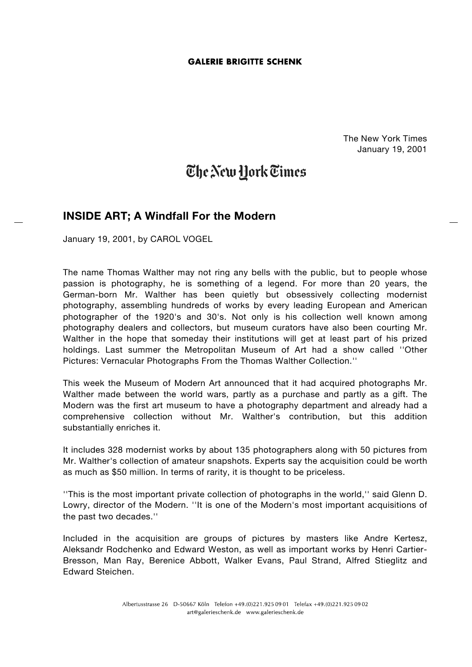## **GALERIE BRIGITTE SCHENK**

The New York Times January 19, 2001

## The New Hork Times

## **INSIDE ART; A Windfall For the Modern**

January 19, 2001, by CAROL VOGEL

The name Thomas Walther may not ring any bells with the public, but to people whose passion is photography, he is something of a legend. For more than 20 years, the German-born Mr. Walther has been quietly but obsessively collecting modernist photography, assembling hundreds of works by every leading European and American photographer of the 1920's and 30's. Not only is his collection well known among photography dealers and collectors, but museum curators have also been courting Mr. Walther in the hope that someday their institutions will get at least part of his prized holdings. Last summer the Metropolitan Museum of Art had a show called ''Other Pictures: Vernacular Photographs From the Thomas Walther Collection.''

This week the Museum of Modern Art announced that it had acquired photographs Mr. Walther made between the world wars, partly as a purchase and partly as a gift. The Modern was the first art museum to have a photography department and already had a comprehensive collection without Mr. Walther's contribution, but this addition substantially enriches it.

It includes 328 modernist works by about 135 photographers along with 50 pictures from Mr. Walther's collection of amateur snapshots. Experts say the acquisition could be worth as much as \$50 million. In terms of rarity, it is thought to be priceless.

''This is the most important private collection of photographs in the world,'' said Glenn D. Lowry, director of the Modern. ''It is one of the Modern's most important acquisitions of the past two decades.''

Included in the acquisition are groups of pictures by masters like Andre Kertesz, Aleksandr Rodchenko and Edward Weston, as well as important works by Henri Cartier-Bresson, Man Ray, Berenice Abbott, Walker Evans, Paul Strand, Alfred Stieglitz and Edward Steichen.